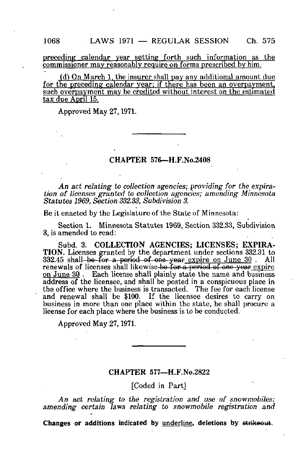preceding calendar year setting forth such information as the commissioner may reasonably require on forms prescribed by him.

fd) On March 1. the insurer shall pay any additional amount due for the preceding calendar year; if there has been an overpayment, such overpayment may be credited without interest on the estimated tax due April 15.

Approved May 27,1971.

#### CHAPTER 576—H.F.No.2408

An act relating to collection agencies; providing for the expiration of licenses granted to collection agencies; amending Minnesota Statutes 1969, Section 332.33, Subdivision 3.

Be it enacted by the Legislature of the State of Minnesota:

Section 1. Minnesota Statutes 1969, Section 332.33, Subdivision 3, is amended to read:

Subd. 3. COLLECTION AGENCIES; LICENSES; EXPIRA-TION. Licenses granted by the department under sections 332.31 to  $332.45$  shall be for a period of one year expire on June  $30$ . All renewals of licenses shall likewise-be for a period of one year expire on June 30. Each license shall plainly state the name and business address of the licensee, and shall be posted in a conspicuous place in the office where the business is transacted. The fee for each license and renewal shall be \$100. If the licensee desires to carry on business in more than one place within the state, he shall procure a license for each place where the business is to be conducted.

Approved May 27,1971.

### CHAPTER 577—H.F.No.2822

[Coded in Part]

An act relating to the registration and use of snowmobiles; amending certain laws relating to snowmobile registration and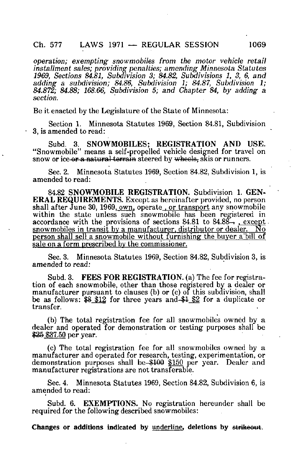operation; exempting snowmobiles from the motor vehicle retail installment sales; providing penalties; amending Minnesota Statutes 1969, Sections 84.81, Subdivision 3; 84.82, Subdivisions 1, 3, 6, and adding a subdivision; 84.86, Subdivision 1; 84.87, Subdivision 1; 84.872; 84.88; 168.66, Subdivision 5; and Chapter 84, by adding a section.

Be it enacted by the Legislature of the State of Minnesota:

Section 1. Minnesota Statutes 1969, Section 84.81, Subdivision 3, is amended to read:

Subd. 3. SNOWMOBILES; REGISTRATION AND USE. "Snowmobile" means a self-propelled vehicle designed for travel on snow or ice or a natural terrain steered by wheels, skis or runners.

Sec. 2. Minnesota Statutes 1969, Section 84.82, Subdivision 1, is amended to read:

84.82 SNOWMOBILE REGISTRATION. Subdivision 1. GEN-ERAL REQUIREMENTS. Except as hereinafter provided, no person shall after June 30, 1969, own, operate, or transport any snowmobile within the state unless such snowmobile has been registered in accordance with the provisions of sections  $84.81$  to  $84.88 -$ , except. snowmobiles in transit by a manufacturer, distributor or dealer. No person shall sell a snowmobile without furnishing the buyer a'bill of sale on a form prescribed by the commissioner.

Sec. 3. Minnesota Statutes 1969, Section 84.82, Subdivision 3, is amended to read:

Subd. 3. FEES FOR REGISTRATION. (a) The fee for registration of each snowmobile, other than those registered by a dealer or manufacturer pursuant to clauses (b) or (c) of this subdivision, shall be as follows: \$8 \$12 for three years and \$1 \$2 for a duplicate or transfer.

(b) The total registration fee for all snowmobiles owned by a dealer and operated for demonstration or testing purposes shall be \$25 \$37.50 per year.

(c) The total registration fee for all snowmobiles owned by a manufacturer and operated for research, testing, experimentation, or demonstration purposes shall be \$100 \$150 per year. Dealer and manufacturer registrations are not transferable.

Sec. 4. Minnesota Statutes 1969, Section 84.82, Subdivision 6, is amended to read:

Subd. 6. EXEMPTIONS. No registration hereunder shall be required for the following described snowmobiles: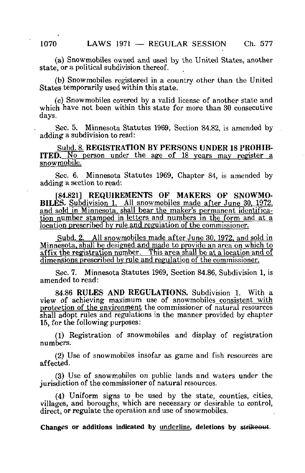(a) Snowmobiles owned and used by the United States, another state, or a political subdivision thereof.

(b) Snowmobiles registered in a country other than the United States temporarily used within this state.

(c) Snowmobiles covered by a valid license of another state and which have not been within this state for more than 30 consecutive days.

Sec. 5. Minnesota Statutes 1969, Section 84.82, is amended by adding a subdivision to read:

Subd. 8. REGISTRATION BY PERSONS UNDER 18 PROHIB-ITED. No person under the age of 18 years may register a snowmobile.

Sec. 6. Minnesota Statutes 1969, Chapter 84, is amended by adding a section to read:

[84.821] REQUIREMENTS OF MAKERS OF SNOWMO-BILES. Subdivision 1. All snowmobiles made after June 30. 1972. and sold in Minnesota, shall bear the maker's permanent identification number stamped in letters and numbers in the form and at a location prescribed by rule and regulation of the commissioner.

Subd. 2. All snowmobiles made after June 30.1972. and sold in Minnesota, shall be designed and made to provide an area on which to affix the registration number. This area shall be at a location and of dimensions prescribed by rule and regulation of the commissioner

Sec. 7. Minnesota Statutes 1969, Section 84.86, Subdivision 1, is amended to read:

84.86 RULES AND REGULATIONS. Subdivision 1. With a view of achieving maximum use of snowmobiles consistent with protection of the environment the commissioner of natural resources shall adopt rules and regulations in the manner provided by chapter 15, for the following purposes:

(1) Registration of snowmobiles and display of registration numbers.

(2) Use of snowmobiles insofar as game and fish resources are affected.

(3) Use of snowmobiles on public lands and waters under the jurisdiction of the commissioner of natural resources.

(4) Uniform signs to be used by the state, counties, cities, villages, and boroughs, which are necessary or desirable to control, direct, or regulate the operation and use of snowmobiles.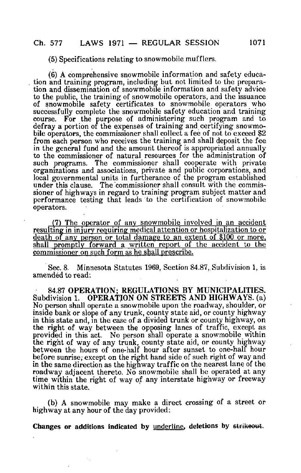## (5) Specifications relating to snowmobile mufflers.

(6) A comprehensive snowmobile information and safety education and training program, including but not limited to the preparation and dissemination of snowmobile information and safety advice to the public, the training of snowmobile operators, and the issuance of snowmobile safety certificates to snowmobile operators who successfully complete the snowmobile safety education and training course. For the purpose of administering such program and to defray a portion of the expenses of training and certifying snowmobile operators, the commissioner shall collect a fee of not to exceed \$2 from each person who receives the training and shall deposit the fee in the general fund and the amount thereof is appropriated annually to the commissioner of natural resources for the administration of such programs. The commissioner shall cooperate with private organizations and associations, private and public corporations, and local governmental units in furtherance of the program established under this clause. The commissioner shall consult with the commissioner of highways in regard to training program subject matter and performance testing that leads to the certification of snowmobile operators.

(7) The operator of any snowmobile involved in an accident resulting in injury requiring medical attention or hospitalization to or death of any person or total damage to an extent of \$100 or more. shall promptly forward a written report of the accident to the commissioner on such form as he shall prescribe.

Sec. 8. Minnesota Statutes 1969, Section 84.87,.Subdivision 1, is amended to read:

84.87 OPERATION; REGULATIONS BY MUNICIPALITIES. Subdivision 1. OPERATION ON STREETS AND HIGHWAYS, (a) No person shall operate a snowmobile upon the roadway, shoulder, or inside bank or slope of any trunk, county state aid, or county highway in this state and, in the case of a divided trunk or county highway, on the right of way between the opposing lanes of traffic, except as provided in this act. No person shall operate a snowmobile within the right of way of any trunk, county state aid, or county highway between the hours of one-half hour after sunset to one-half hour before sunrise; except on the right hand side of such right of way and in the same direction as the highway traffic on the nearest lane of the roadway adjacent thereto. No snowmobile shall be operated at any time within the right of way of any interstate highway or freeway within this state.

(b) A snowmobile may make a direct crossing of a street or highway at any hour of the day provided: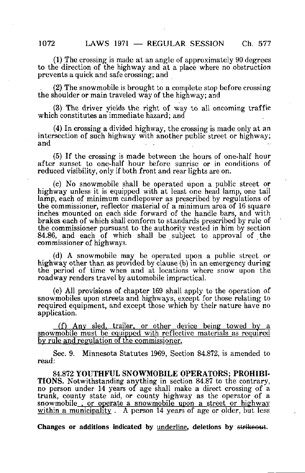(1) The crossing is made at an angle of approximately 90 degrees to the direction of the highway and at a place where no obstruction prevents a quick and safe crossing; and

(2) The snowmobile is brought to a complete stop before crossing the shoulder or main traveled way of the highway; and

(3) The driver yields the right of way to all oncoming traffic which constitutes an immediate hazard; and

(4) In crossing a divided highway, the crossing is made only at an intersection of such highway with another public street or highway; and

(5) If the crossing is made between the hours of one-half hour after sunset to one-half hour before sunrise or in conditions of reduced visibility, only if both front and rear lights are on.

(c) No snowmobile shall be operated upon a public street or highway unless it is equipped with at least one head lamp, one tail lamp, each of minimum candlepower as prescribed by regulations of the commissioner, reflector material of a minimum area of 16 square inches mounted on each side forward of the handle bars, and with brakes each of which shall conform to standards prescribed by rule of the commissioner pursuant to the authority vested in him by section 84.86, and each of which shall be subject to approval of the commissioner of highways.

(d) A snowmobile may be operated upon a public street or highway other than as provided by clause (b) in an emergency during the period of time when and at locations where snow upon the roadway renders travel by automobile impractical.

(e) All provisions of chapter 169 shall apply to the operation of snowmobiles upon streets and highways, except for those relating to required equipment, and except those which by their nature have no application.

ff) Any sled, trailer, or other device being towed by a snowmobile must be equipped with reflective materials as required^ by rule and regulation of the commissioner.

Sec. 9. Minnesota Statutes 1969, Section 84.872, is amended to read:

84.872 YOUTHFUL SNOWMOBILE OPERATORS; PROHIBI-TIONS. Notwithstanding anything in section 84.87 to the contrary, no person under 14 years of age shall make a direct crossing of a trunk, county state aid, or county highway as the operator of a snowmobile, or operate a snowmobile upon a street or highway within a municipality. A person 14 years of age or older, but less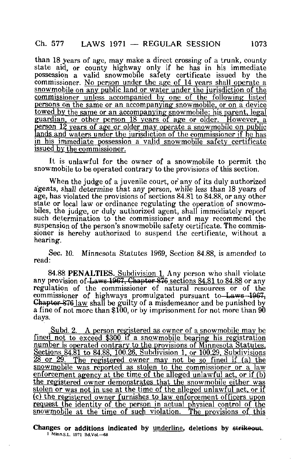# $Ch. 577$  LAWS 1971 — REGULAR SESSION 1073

than 18 years of age, may make a direct crossing of a trunk, county state aid, or county highway only if he has in his immediate possession a valid snowmobile safety certificate issued by the commissioner. No person under the age of 14 years shall operate a snowmobile on any public land or water under the jurisdiction of the commissioner unless accompanied by one of the following listed persons on the same or an accompanying snowmobile, or on a device towed by the same or an accompanying snowmobile: his parent, legal guardian, or other person 18 years of age or older. However, a person 12 years of age or older may operate a snowmobile on public lands and waters under the jurisdiction of the commissioner if he has in his immediate possession a valid snowmobile safety certificate issued by the commissioner.

It is unlawful for the owner of a snowmobile to permit the snowmobile to be operated contrary to the provisions of this section.

When the judge of a juvenile court, or any of its duly authorized agents, shall determine that any person, while less than 18 years of age, has violated the provisions of sections 84.81 to 84.88, or any other state or local law or ordinance regulating the operation of snowmobiles, the judge, or duly authorized agent, shall immediately report such determination to the commissioner and may recommend the suspension of the person's snowmobile safety certificate. The commissioner is hereby authorized to suspend the certificate, without a hearing.

Sec. 10. Minnesota Statutes 1969, Section 84.88, is amended to read:

84.88 PENALTIES. Subdivision 1. Any person who shall violate any provision of Laws 1967. Chapter 876 sections 84.81 to 84.88 or any regulation of the commissioner of natural resources or of the commissioner of highways promulgated pursuant to Laws-1967, Chapter S76 law shall be guilty of a misdemeanor and be punished by a fine of not more than  $$100$ , or by imprisonment for not more than  $90$ days.

Subd. 2. A person registered as owner of a snowmobile may be fined not to exceed \$300 if a snowmobile bearing his registration number is operated contrary to the provisions of Minnesota Statutes. Sections 84.81 to 84.88. 100.26. Subdivision 1. or 100.29. Subdivisions  $28$  or  $29$ . The registered owner may not be so fined if (a) the snowmobile was reported as stolen to the commissioner or a law enforcement agency at the time of the alleged unlawful act, or if  $(b)$ the registered owner demonstrates that the snowmobile either was stolen or was not in use at the time of the alleged unlawful act, or if fc) the registered owner furnishes to law enforcement officers upon request the identity of the person in actual physical control of the snowmobile at the time of such violation. The provisions of this

Changes or additions indicated by underline, deletions by strikeout. I Mlnn.s.L. 1971 Bd.VoL—68